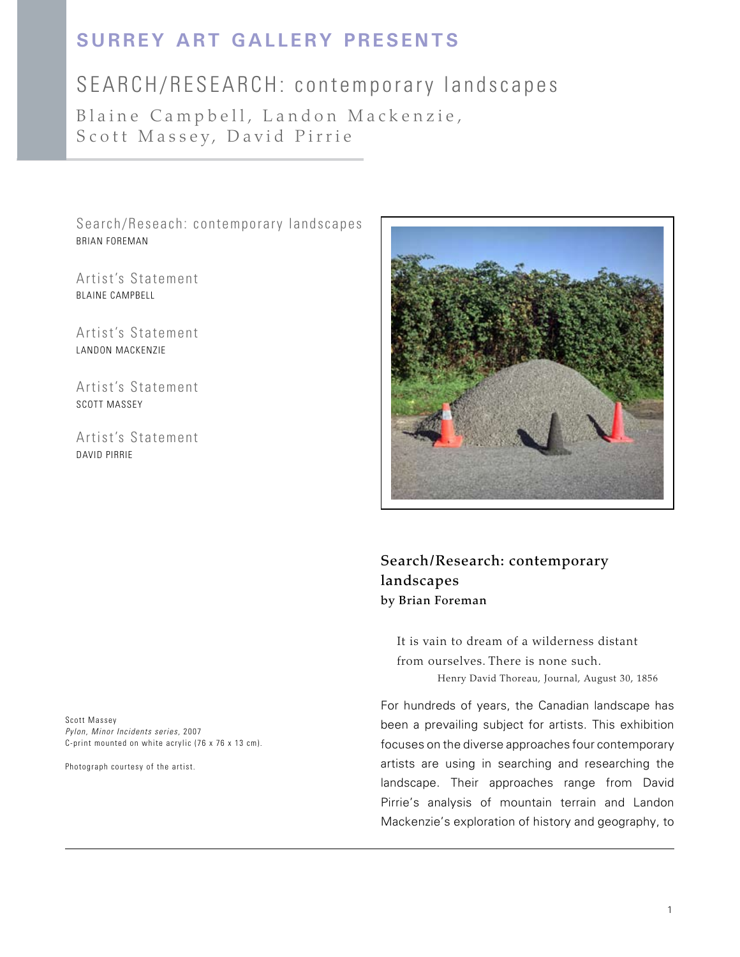## **Surrey Art Gallery Presents**

## SEARCH/RESEARCH: contemporary landscapes

Blaine Campbell, Landon Mackenzie, Scott Massey, David Pirrie

Search/Reseach: contemporary landscapes BRIAN FOREMAN

Artist's Statement BLAINE CAMPBELL

Artist's Statement LANDON MACKENZIE

Artist's Statement SCOTT MASSEY

Artist's Statement DAVID PIRRIE

Scott Massey *Pylon, Minor Incidents series,* 2007 C-print mounted on white acrylic (76 x 76 x 13 cm).

Photograph courtesy of the artist.



Search/Research: contemporary landscapes by Brian Foreman

It is vain to dream of a wilderness distant from ourselves. There is none such. Henry David Thoreau, Journal, August 30, 1856

For hundreds of years, the Canadian landscape has been a prevailing subject for artists. This exhibition focuses on the diverse approaches four contemporary artists are using in searching and researching the landscape. Their approaches range from David Pirrie's analysis of mountain terrain and Landon Mackenzie's exploration of history and geography, to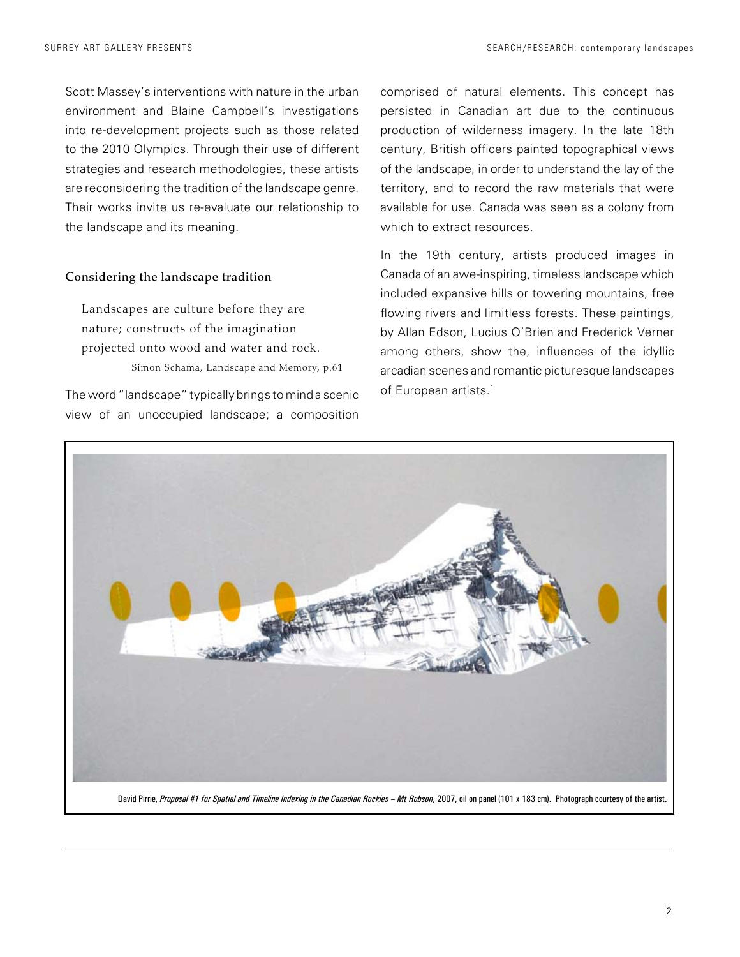Scott Massey's interventions with nature in the urban environment and Blaine Campbell's investigations into re-development projects such as those related to the 2010 Olympics. Through their use of different strategies and research methodologies, these artists are reconsidering the tradition of the landscape genre. Their works invite us re-evaluate our relationship to the landscape and its meaning.

#### Considering the landscape tradition

Landscapes are culture before they are nature; constructs of the imagination projected onto wood and water and rock. Simon Schama, Landscape and Memory, p.61

The word "landscape" typically brings to mind a scenic view of an unoccupied landscape; a composition

comprised of natural elements. This concept has persisted in Canadian art due to the continuous production of wilderness imagery. In the late 18th century, British officers painted topographical views of the landscape, in order to understand the lay of the territory, and to record the raw materials that were available for use. Canada was seen as a colony from which to extract resources.

In the 19th century, artists produced images in Canada of an awe-inspiring, timeless landscape which included expansive hills or towering mountains, free flowing rivers and limitless forests. These paintings, by Allan Edson, Lucius O'Brien and Frederick Verner among others, show the, influences of the idyllic arcadian scenes and romantic picturesque landscapes of European artists.<sup>1</sup>

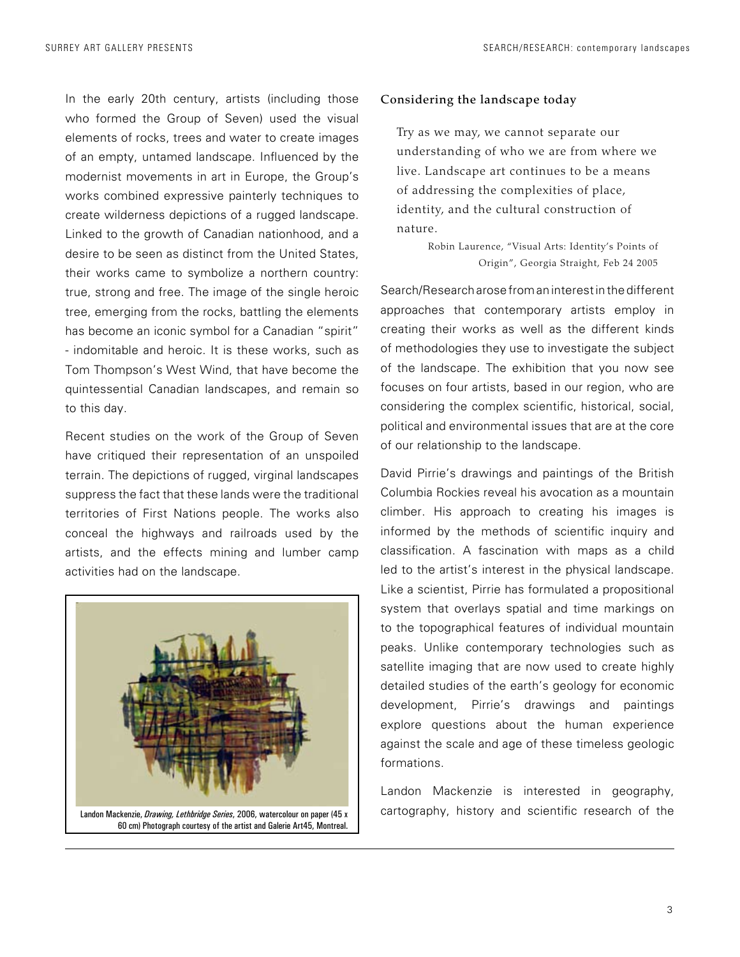In the early 20th century, artists (including those who formed the Group of Seven) used the visual elements of rocks, trees and water to create images of an empty, untamed landscape. Influenced by the modernist movements in art in Europe, the Group's works combined expressive painterly techniques to create wilderness depictions of a rugged landscape. Linked to the growth of Canadian nationhood, and a desire to be seen as distinct from the United States, their works came to symbolize a northern country: true, strong and free. The image of the single heroic tree, emerging from the rocks, battling the elements has become an iconic symbol for a Canadian "spirit" - indomitable and heroic. It is these works, such as Tom Thompson's West Wind, that have become the quintessential Canadian landscapes, and remain so to this day.

Recent studies on the work of the Group of Seven have critiqued their representation of an unspoiled terrain. The depictions of rugged, virginal landscapes suppress the fact that these lands were the traditional territories of First Nations people. The works also conceal the highways and railroads used by the artists, and the effects mining and lumber camp activities had on the landscape.



### Considering the landscape today

Try as we may, we cannot separate our understanding of who we are from where we live. Landscape art continues to be a means of addressing the complexities of place, identity, and the cultural construction of nature.

> Robin Laurence, "Visual Arts: Identity's Points of Origin", Georgia Straight, Feb 24 2005

Search/Research arose from an interest in the different approaches that contemporary artists employ in creating their works as well as the different kinds of methodologies they use to investigate the subject of the landscape. The exhibition that you now see focuses on four artists, based in our region, who are considering the complex scientific, historical, social, political and environmental issues that are at the core of our relationship to the landscape.

David Pirrie's drawings and paintings of the British Columbia Rockies reveal his avocation as a mountain climber. His approach to creating his images is informed by the methods of scientific inquiry and classification. A fascination with maps as a child led to the artist's interest in the physical landscape. Like a scientist, Pirrie has formulated a propositional system that overlays spatial and time markings on to the topographical features of individual mountain peaks. Unlike contemporary technologies such as satellite imaging that are now used to create highly detailed studies of the earth's geology for economic development, Pirrie's drawings and paintings explore questions about the human experience against the scale and age of these timeless geologic formations.

Landon Mackenzie is interested in geography, cartography, history and scientific research of the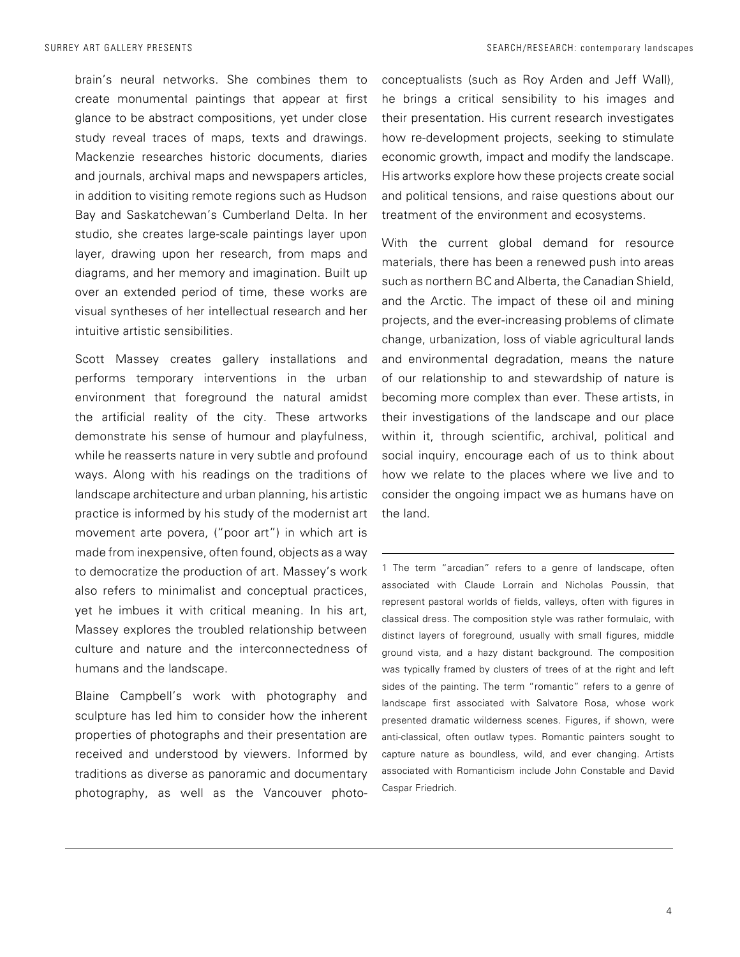brain's neural networks. She combines them to create monumental paintings that appear at first glance to be abstract compositions, yet under close study reveal traces of maps, texts and drawings. Mackenzie researches historic documents, diaries and journals, archival maps and newspapers articles, in addition to visiting remote regions such as Hudson Bay and Saskatchewan's Cumberland Delta. In her studio, she creates large-scale paintings layer upon layer, drawing upon her research, from maps and diagrams, and her memory and imagination. Built up over an extended period of time, these works are visual syntheses of her intellectual research and her intuitive artistic sensibilities.

Scott Massey creates gallery installations and performs temporary interventions in the urban environment that foreground the natural amidst the artificial reality of the city. These artworks demonstrate his sense of humour and playfulness, while he reasserts nature in very subtle and profound ways. Along with his readings on the traditions of landscape architecture and urban planning, his artistic practice is informed by his study of the modernist art movement arte povera, ("poor art") in which art is made from inexpensive, often found, objects as a way to democratize the production of art. Massey's work also refers to minimalist and conceptual practices, yet he imbues it with critical meaning. In his art, Massey explores the troubled relationship between culture and nature and the interconnectedness of humans and the landscape.

Blaine Campbell's work with photography and sculpture has led him to consider how the inherent properties of photographs and their presentation are received and understood by viewers. Informed by traditions as diverse as panoramic and documentary photography, as well as the Vancouver photoconceptualists (such as Roy Arden and Jeff Wall), he brings a critical sensibility to his images and their presentation. His current research investigates how re-development projects, seeking to stimulate economic growth, impact and modify the landscape. His artworks explore how these projects create social and political tensions, and raise questions about our treatment of the environment and ecosystems.

With the current global demand for resource materials, there has been a renewed push into areas such as northern BC and Alberta, the Canadian Shield, and the Arctic. The impact of these oil and mining projects, and the ever-increasing problems of climate change, urbanization, loss of viable agricultural lands and environmental degradation, means the nature of our relationship to and stewardship of nature is becoming more complex than ever. These artists, in their investigations of the landscape and our place within it, through scientific, archival, political and social inquiry, encourage each of us to think about how we relate to the places where we live and to consider the ongoing impact we as humans have on the land.

1 The term "arcadian" refers to a genre of landscape, often associated with Claude Lorrain and Nicholas Poussin, that represent pastoral worlds of fields, valleys, often with figures in classical dress. The composition style was rather formulaic, with distinct layers of foreground, usually with small figures, middle ground vista, and a hazy distant background. The composition was typically framed by clusters of trees of at the right and left sides of the painting. The term "romantic" refers to a genre of landscape first associated with Salvatore Rosa, whose work presented dramatic wilderness scenes. Figures, if shown, were anti-classical, often outlaw types. Romantic painters sought to capture nature as boundless, wild, and ever changing. Artists associated with Romanticism include John Constable and David Caspar Friedrich.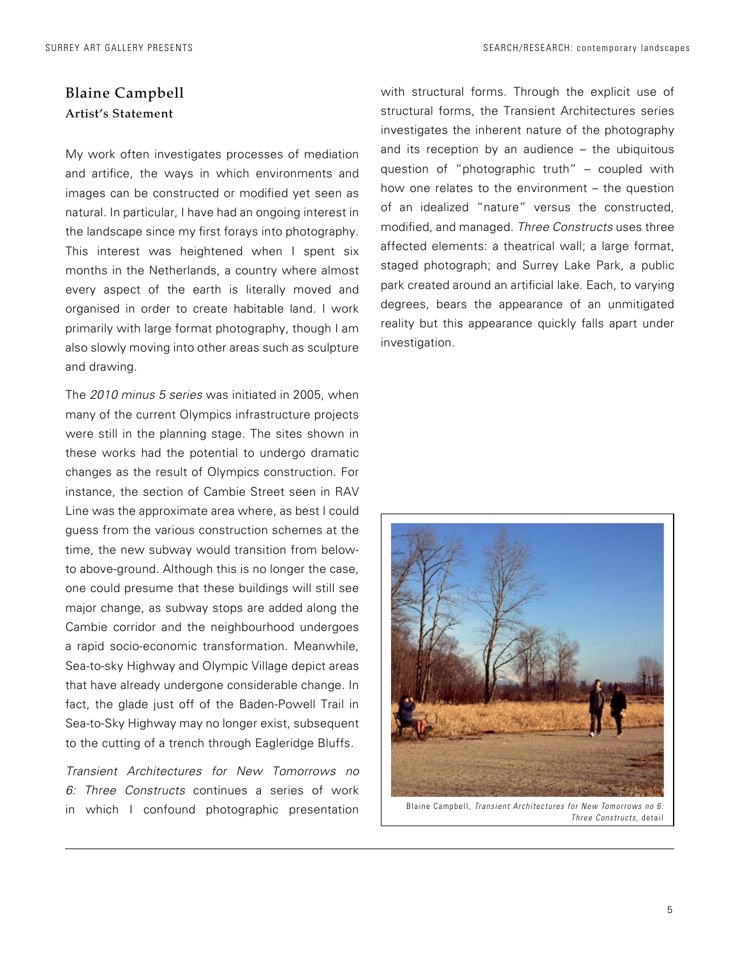### Blaine Campbell Artist's Statement

My work often investigates processes of mediation and artifice, the ways in which environments and images can be constructed or modified yet seen as natural. In particular, I have had an ongoing interest in the landscape since my first forays into photography. This interest was heightened when I spent six months in the Netherlands, a country where almost every aspect of the earth is literally moved and organised in order to create habitable land. I work primarily with large format photography, though I am also slowly moving into other areas such as sculpture and drawing.

The *2010 minus 5 series* was initiated in 2005, when many of the current Olympics infrastructure projects were still in the planning stage. The sites shown in these works had the potential to undergo dramatic changes as the result of Olympics construction. For instance, the section of Cambie Street seen in RAV Line was the approximate area where, as best I could guess from the various construction schemes at the time, the new subway would transition from belowto above-ground. Although this is no longer the case, one could presume that these buildings will still see major change, as subway stops are added along the Cambie corridor and the neighbourhood undergoes a rapid socio-economic transformation. Meanwhile, Sea-to-sky Highway and Olympic Village depict areas that have already undergone considerable change. In fact, the glade just off of the Baden-Powell Trail in Sea-to-Sky Highway may no longer exist, subsequent to the cutting of a trench through Eagleridge Bluffs.

*Transient Architectures for New Tomorrows no 6: Three Constructs* continues a series of work in which I confound photographic presentation with structural forms. Through the explicit use of structural forms, the Transient Architectures series investigates the inherent nature of the photography and its reception by an audience – the ubiquitous question of "photographic truth" – coupled with how one relates to the environment – the question of an idealized "nature" versus the constructed, modified, and managed. *Three Constructs* uses three affected elements: a theatrical wall; a large format, staged photograph; and Surrey Lake Park, a public park created around an artificial lake. Each, to varying degrees, bears the appearance of an unmitigated reality but this appearance quickly falls apart under investigation.



Blaine Campbell, *Transient Architectures for New Tomorrows no 6: Three Constructs*, detail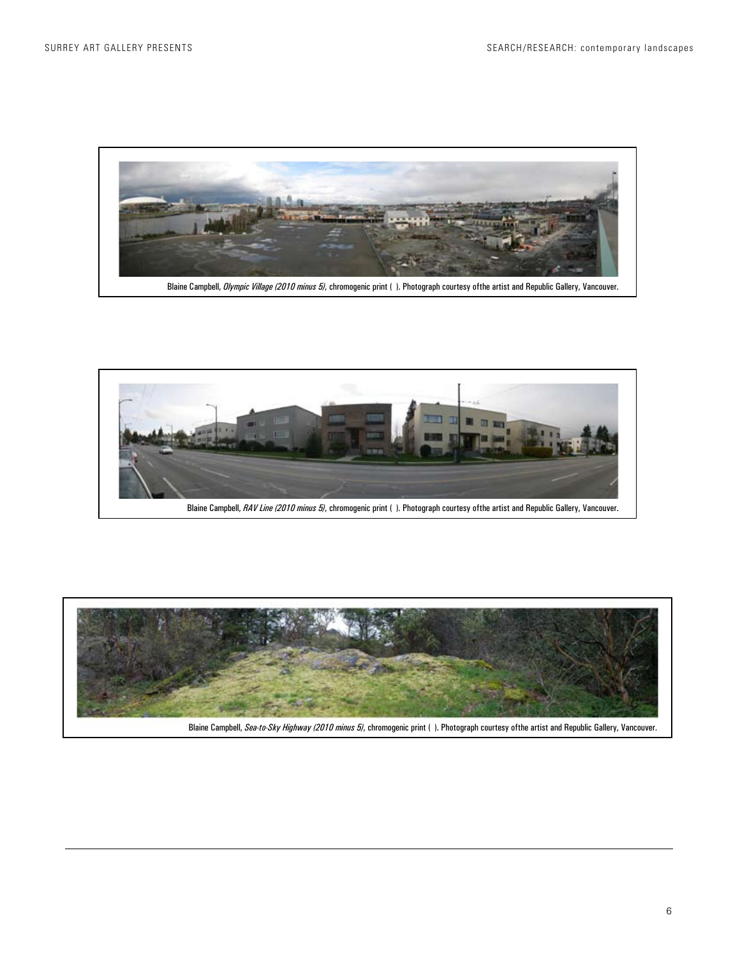

Blaine Campbell, *Olympic Village (2010 minus 5)*, chromogenic print ( ). Photograph courtesy ofthe artist and Republic Gallery, Vancouver.



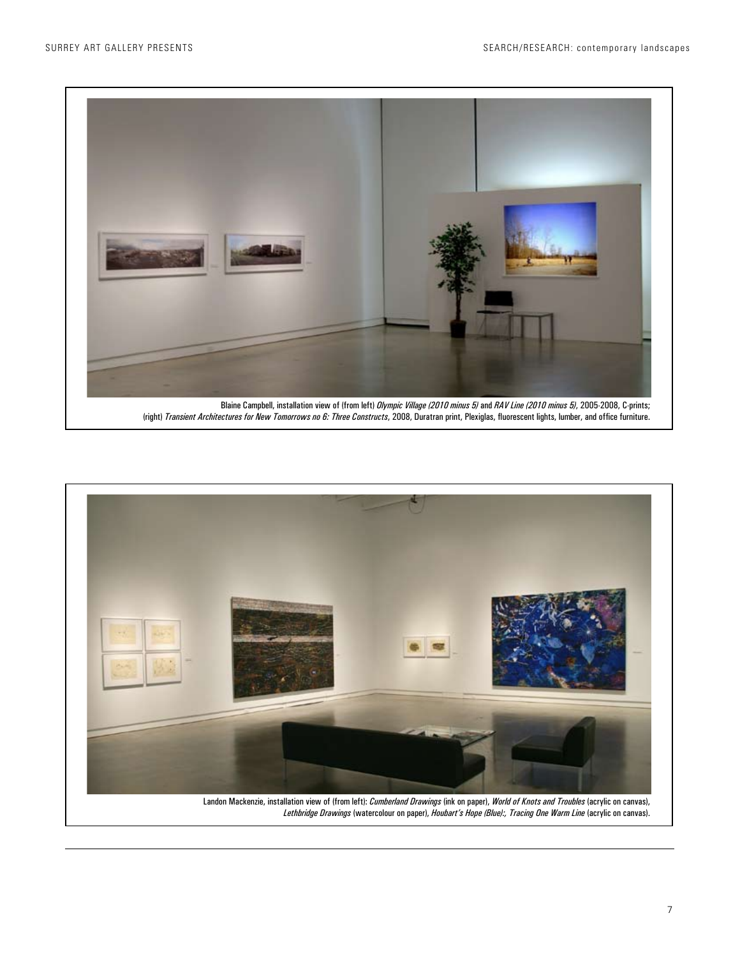

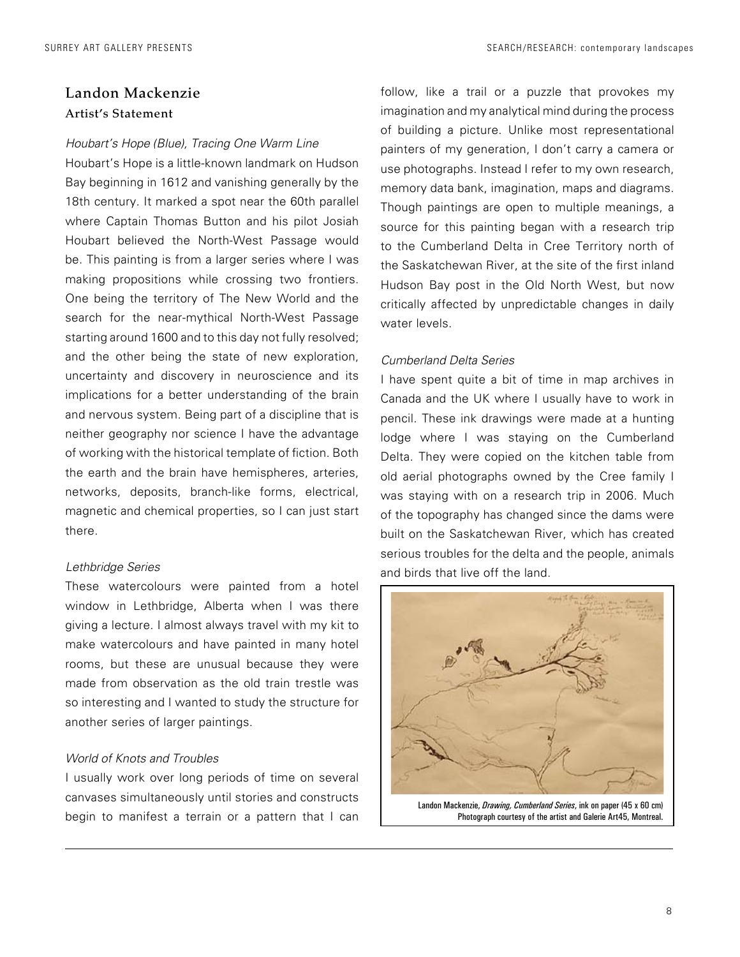### Landon Mackenzie Artist's Statement

#### *Houbart's Hope (Blue), Tracing One Warm Line*

Houbart's Hope is a little-known landmark on Hudson Bay beginning in 1612 and vanishing generally by the 18th century. It marked a spot near the 60th parallel where Captain Thomas Button and his pilot Josiah Houbart believed the North-West Passage would be. This painting is from a larger series where I was making propositions while crossing two frontiers. One being the territory of The New World and the search for the near-mythical North-West Passage starting around 1600 and to this day not fully resolved; and the other being the state of new exploration, uncertainty and discovery in neuroscience and its implications for a better understanding of the brain and nervous system. Being part of a discipline that is neither geography nor science I have the advantage of working with the historical template of fiction. Both the earth and the brain have hemispheres, arteries, networks, deposits, branch-like forms, electrical, magnetic and chemical properties, so I can just start there.

#### *Lethbridge Series*

These watercolours were painted from a hotel window in Lethbridge, Alberta when I was there giving a lecture. I almost always travel with my kit to make watercolours and have painted in many hotel rooms, but these are unusual because they were made from observation as the old train trestle was so interesting and I wanted to study the structure for another series of larger paintings.

### *World of Knots and Troubles*

I usually work over long periods of time on several canvases simultaneously until stories and constructs begin to manifest a terrain or a pattern that I can follow, like a trail or a puzzle that provokes my imagination and my analytical mind during the process of building a picture. Unlike most representational painters of my generation, I don't carry a camera or use photographs. Instead I refer to my own research, memory data bank, imagination, maps and diagrams. Though paintings are open to multiple meanings, a source for this painting began with a research trip to the Cumberland Delta in Cree Territory north of the Saskatchewan River, at the site of the first inland Hudson Bay post in the Old North West, but now critically affected by unpredictable changes in daily water levels.

### *Cumberland Delta Series*

I have spent quite a bit of time in map archives in Canada and the UK where I usually have to work in pencil. These ink drawings were made at a hunting lodge where I was staying on the Cumberland Delta. They were copied on the kitchen table from old aerial photographs owned by the Cree family I was staying with on a research trip in 2006. Much of the topography has changed since the dams were built on the Saskatchewan River, which has created serious troubles for the delta and the people, animals and birds that live off the land.



Photograph courtesy of the artist and Galerie Art45, Montreal.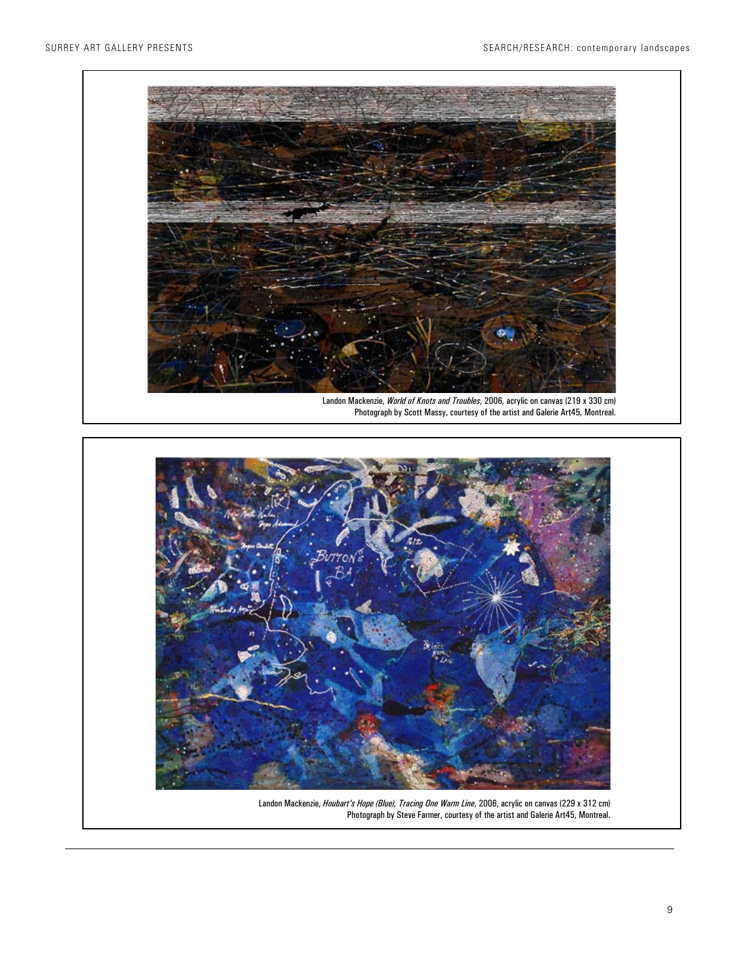



Landon Mackenzie, *Houbart's Hope (Blue), Tracing One Warm Line*, 2006, acrylic on canvas (229 x 312 cm) Photograph by Steve Farmer, courtesy of the artist and Galerie Art45, Montreal.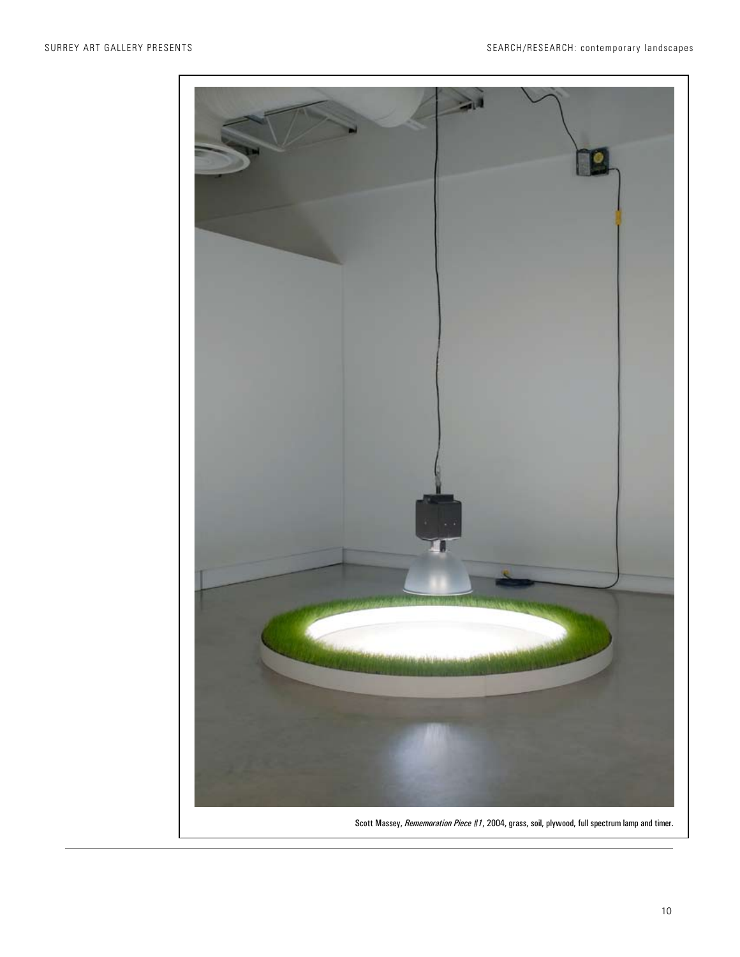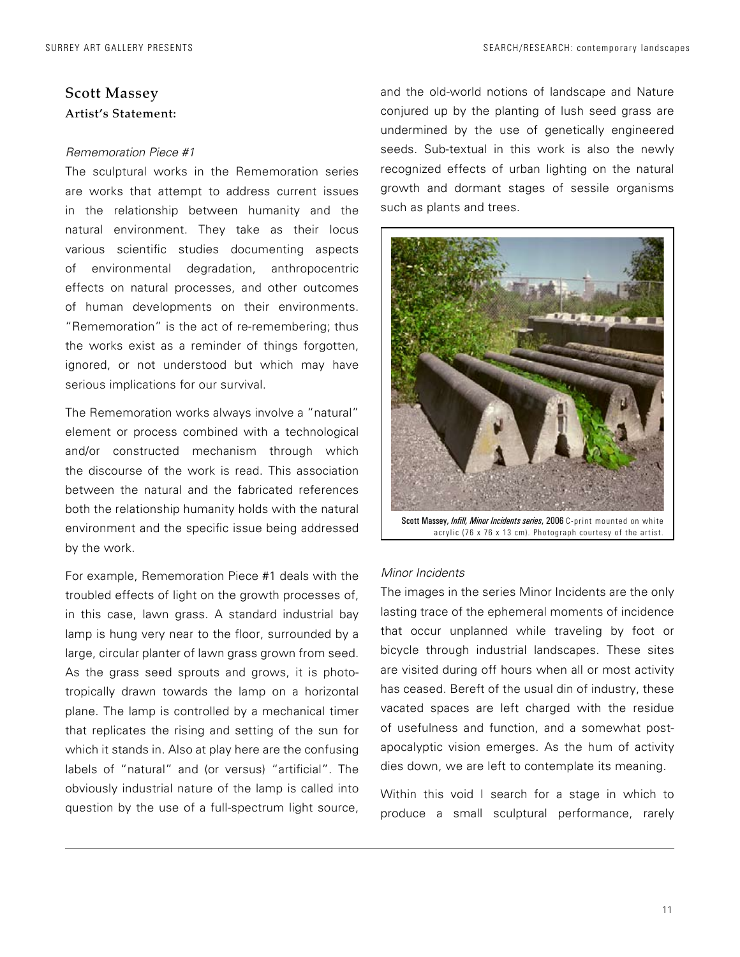### Scott Massey Artist's Statement:

### *Rememoration Piece #1*

The sculptural works in the Rememoration series are works that attempt to address current issues in the relationship between humanity and the natural environment. They take as their locus various scientific studies documenting aspects of environmental degradation, anthropocentric effects on natural processes, and other outcomes of human developments on their environments. "Rememoration" is the act of re-remembering; thus the works exist as a reminder of things forgotten, ignored, or not understood but which may have serious implications for our survival.

The Rememoration works always involve a "natural" element or process combined with a technological and/or constructed mechanism through which the discourse of the work is read. This association between the natural and the fabricated references both the relationship humanity holds with the natural environment and the specific issue being addressed by the work.

For example, Rememoration Piece #1 deals with the troubled effects of light on the growth processes of, in this case, lawn grass. A standard industrial bay lamp is hung very near to the floor, surrounded by a large, circular planter of lawn grass grown from seed. As the grass seed sprouts and grows, it is phototropically drawn towards the lamp on a horizontal plane. The lamp is controlled by a mechanical timer that replicates the rising and setting of the sun for which it stands in. Also at play here are the confusing labels of "natural" and (or versus) "artificial". The obviously industrial nature of the lamp is called into question by the use of a full-spectrum light source, and the old-world notions of landscape and Nature conjured up by the planting of lush seed grass are undermined by the use of genetically engineered seeds. Sub-textual in this work is also the newly recognized effects of urban lighting on the natural growth and dormant stages of sessile organisms such as plants and trees.



Scott Massey, *Infill, Minor Incidents series*, 2006 C-print mounted on white acrylic (76 x 76 x 13 cm). Photograph courtesy of the artist.

### *Minor Incidents*

The images in the series Minor Incidents are the only lasting trace of the ephemeral moments of incidence that occur unplanned while traveling by foot or bicycle through industrial landscapes. These sites are visited during off hours when all or most activity has ceased. Bereft of the usual din of industry, these vacated spaces are left charged with the residue of usefulness and function, and a somewhat postapocalyptic vision emerges. As the hum of activity dies down, we are left to contemplate its meaning.

Within this void I search for a stage in which to produce a small sculptural performance, rarely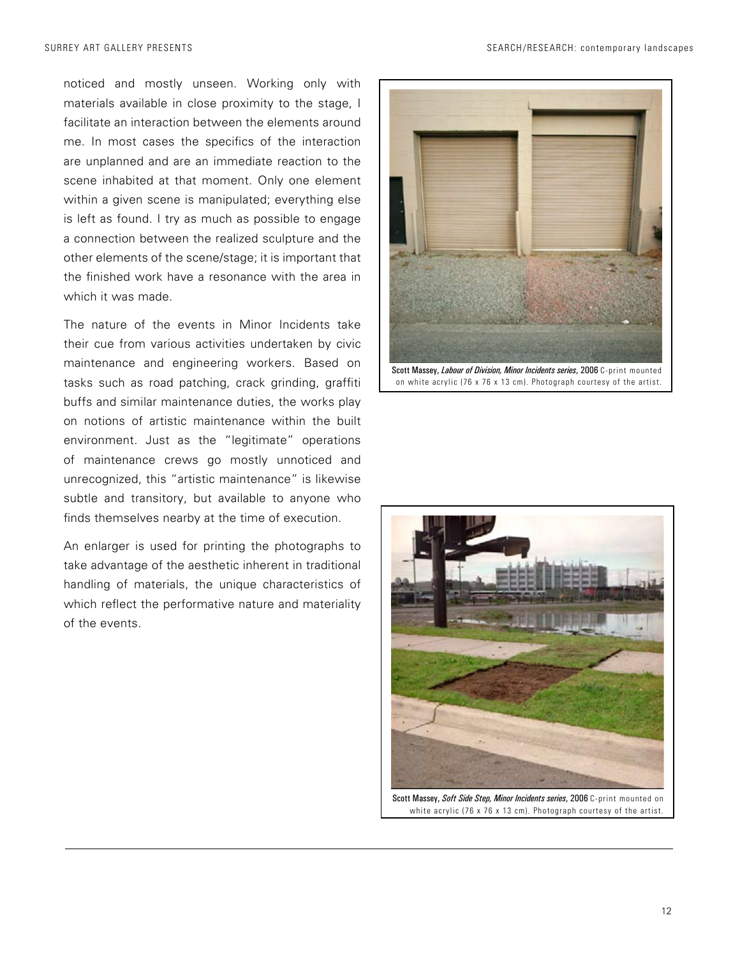noticed and mostly unseen. Working only with materials available in close proximity to the stage, I facilitate an interaction between the elements around me. In most cases the specifics of the interaction are unplanned and are an immediate reaction to the scene inhabited at that moment. Only one element within a given scene is manipulated; everything else is left as found. I try as much as possible to engage a connection between the realized sculpture and the other elements of the scene/stage; it is important that the finished work have a resonance with the area in which it was made.

The nature of the events in Minor Incidents take their cue from various activities undertaken by civic maintenance and engineering workers. Based on tasks such as road patching, crack grinding, graffiti buffs and similar maintenance duties, the works play on notions of artistic maintenance within the built environment. Just as the "legitimate" operations of maintenance crews go mostly unnoticed and unrecognized, this "artistic maintenance" is likewise subtle and transitory, but available to anyone who finds themselves nearby at the time of execution.

An enlarger is used for printing the photographs to take advantage of the aesthetic inherent in traditional handling of materials, the unique characteristics of which reflect the performative nature and materiality of the events.





Scott Massey, *Soft Side Step, Minor Incidents series*, 2006 C-print mounted on white acrylic (76 x 76 x 13 cm). Photograph courtesy of the artist.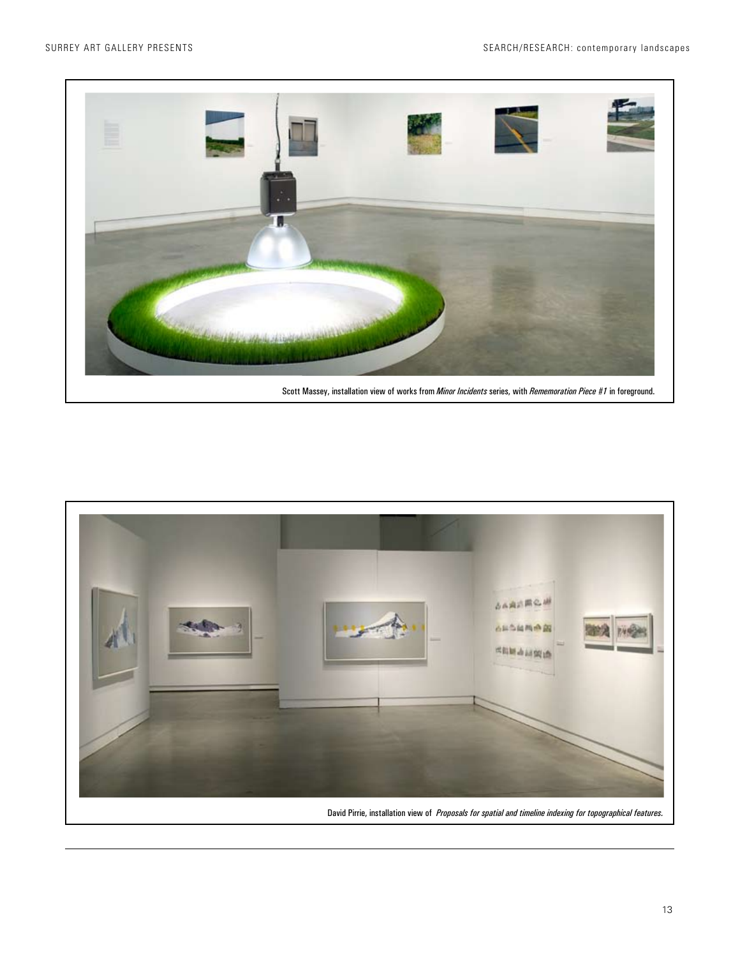

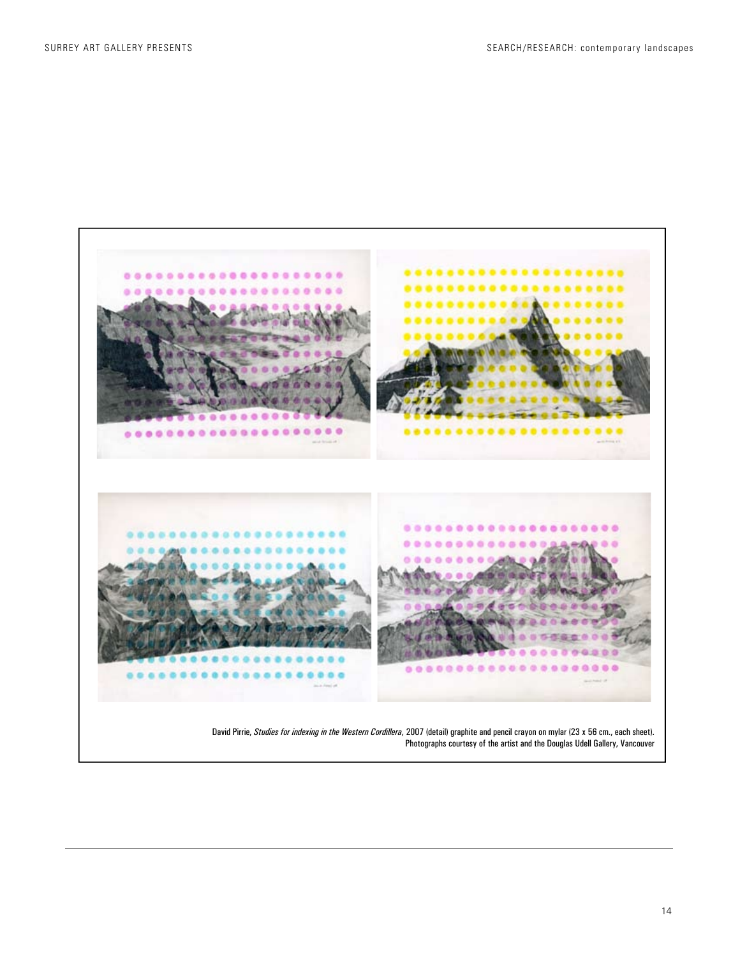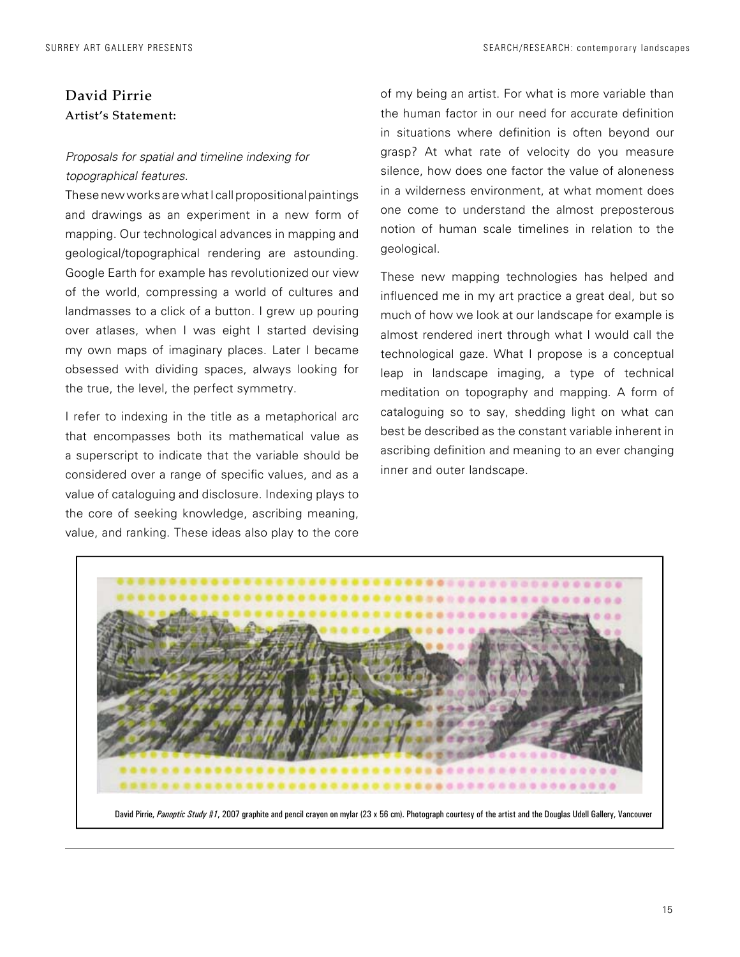### David Pirrie Artist's Statement:

### *Proposals for spatial and timeline indexing for topographical features.*

These new works are what I call propositional paintings and drawings as an experiment in a new form of mapping. Our technological advances in mapping and geological/topographical rendering are astounding. Google Earth for example has revolutionized our view of the world, compressing a world of cultures and landmasses to a click of a button. I grew up pouring over atlases, when I was eight I started devising my own maps of imaginary places. Later I became obsessed with dividing spaces, always looking for the true, the level, the perfect symmetry.

I refer to indexing in the title as a metaphorical arc that encompasses both its mathematical value as a superscript to indicate that the variable should be considered over a range of specific values, and as a value of cataloguing and disclosure. Indexing plays to the core of seeking knowledge, ascribing meaning, value, and ranking. These ideas also play to the core

of my being an artist. For what is more variable than the human factor in our need for accurate definition in situations where definition is often beyond our grasp? At what rate of velocity do you measure silence, how does one factor the value of aloneness in a wilderness environment, at what moment does one come to understand the almost preposterous notion of human scale timelines in relation to the geological.

These new mapping technologies has helped and influenced me in my art practice a great deal, but so much of how we look at our landscape for example is almost rendered inert through what I would call the technological gaze. What I propose is a conceptual leap in landscape imaging, a type of technical meditation on topography and mapping. A form of cataloguing so to say, shedding light on what can best be described as the constant variable inherent in ascribing definition and meaning to an ever changing inner and outer landscape.

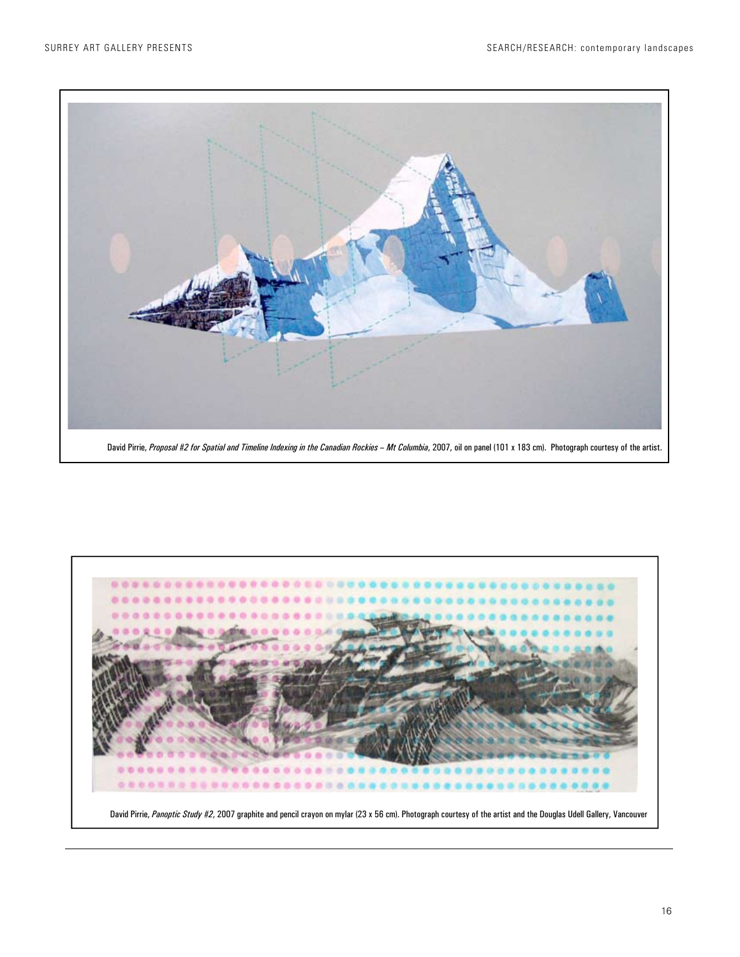

David Pirrie, Proposal #2 for Spatial and Timeline Indexing in the Canadian Rockies - Mt Columbia, 2007, oil on panel (101 x 183 cm). Photograph courtesy of the artist.

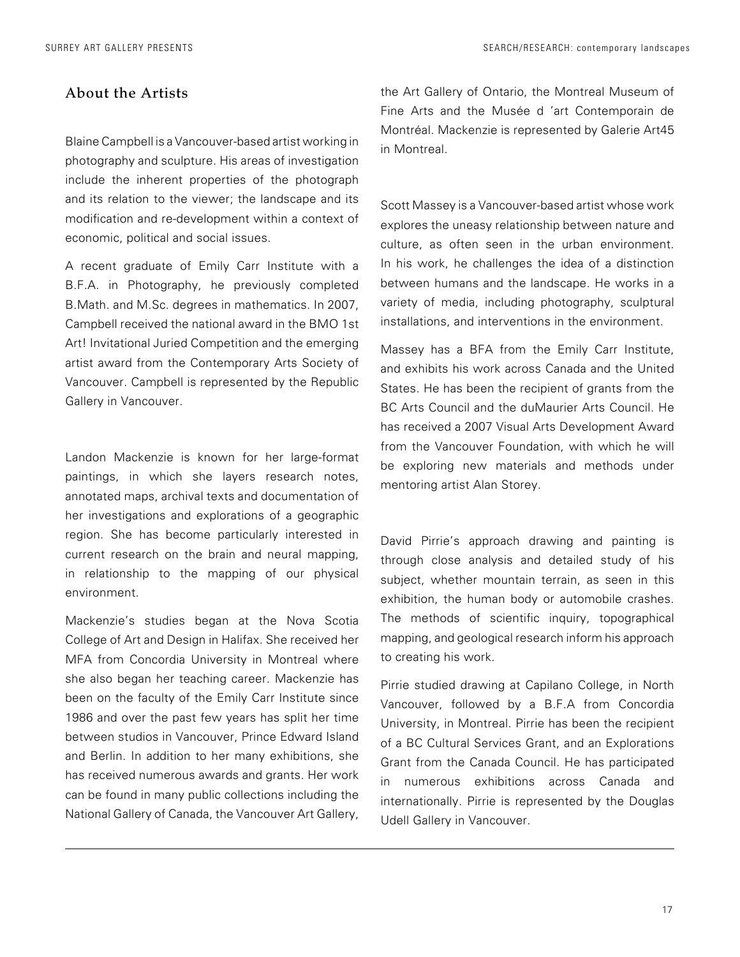### About the Artists

Blaine Campbell is a Vancouver-based artist working in photography and sculpture. His areas of investigation include the inherent properties of the photograph and its relation to the viewer; the landscape and its modification and re-development within a context of economic, political and social issues.

A recent graduate of Emily Carr Institute with a B.F.A. in Photography, he previously completed B.Math. and M.Sc. degrees in mathematics. In 2007, Campbell received the national award in the BMO 1st Art! Invitational Juried Competition and the emerging artist award from the Contemporary Arts Society of Vancouver. Campbell is represented by the Republic Gallery in Vancouver.

Landon Mackenzie is known for her large-format paintings, in which she layers research notes, annotated maps, archival texts and documentation of her investigations and explorations of a geographic region. She has become particularly interested in current research on the brain and neural mapping, in relationship to the mapping of our physical environment.

Mackenzie's studies began at the Nova Scotia College of Art and Design in Halifax. She received her MFA from Concordia University in Montreal where she also began her teaching career. Mackenzie has been on the faculty of the Emily Carr Institute since 1986 and over the past few years has split her time between studios in Vancouver, Prince Edward Island and Berlin. In addition to her many exhibitions, she has received numerous awards and grants. Her work can be found in many public collections including the National Gallery of Canada, the Vancouver Art Gallery, the Art Gallery of Ontario, the Montreal Museum of Fine Arts and the Musée d 'art Contemporain de Montréal. Mackenzie is represented by Galerie Art45 in Montreal.

Scott Massey is a Vancouver-based artist whose work explores the uneasy relationship between nature and culture, as often seen in the urban environment. In his work, he challenges the idea of a distinction between humans and the landscape. He works in a variety of media, including photography, sculptural installations, and interventions in the environment.

Massey has a BFA from the Emily Carr Institute, and exhibits his work across Canada and the United States. He has been the recipient of grants from the BC Arts Council and the duMaurier Arts Council. He has received a 2007 Visual Arts Development Award from the Vancouver Foundation, with which he will be exploring new materials and methods under mentoring artist Alan Storey.

David Pirrie's approach drawing and painting is through close analysis and detailed study of his subject, whether mountain terrain, as seen in this exhibition, the human body or automobile crashes. The methods of scientific inquiry, topographical mapping, and geological research inform his approach to creating his work.

Pirrie studied drawing at Capilano College, in North Vancouver, followed by a B.F.A from Concordia University, in Montreal. Pirrie has been the recipient of a BC Cultural Services Grant, and an Explorations Grant from the Canada Council. He has participated in numerous exhibitions across Canada and internationally. Pirrie is represented by the Douglas Udell Gallery in Vancouver.